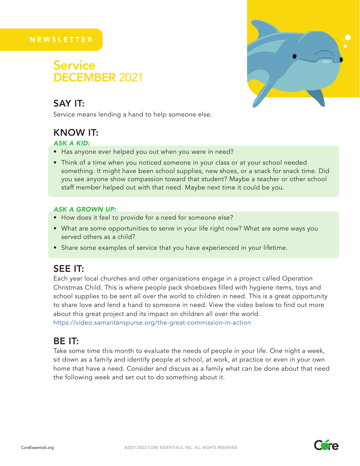#### **NEWSLETTER**

## DECEMBER 2021 **Service**

## SAY IT:

Service means lending a hand to help someone else.

## KNOW IT:

#### *ASK A KID:*

- Has anyone ever helped you out when you were in need?
- Think of a time when you noticed someone in your class or at your school needed something. It might have been school supplies, new shoes, or a snack for snack time. Did you see anyone show compassion toward that student? Maybe a teacher or other school staff member helped out with that need. Maybe next time it could be you.

#### *ASK A GROWN UP:*

- How does it feel to provide for a need for someone else?
- What are some opportunities to serve in your life right now? What are some ways you served others as a child?
- Share some examples of service that you have experienced in your lifetime.

## SEE IT:

Each year local churches and other organizations engage in a project called Operation Christmas Child. This is where people pack shoeboxes filled with hygiene items, toys and school supplies to be sent all over the world to children in need. This is a great opportunity to share love and lend a hand to someone in need. View the video below to find out more about this great project and its impact on children all over the world. https://video.samaritanspurse.org/the-great-commission-in-action

### BE IT:

Take some time this month to evaluate the needs of people in your life. One night a week, sit down as a family and identify people at school, at work, at practice or even in your own home that have a need. Consider and discuss as a family what can be done about that need the following week and set out to do something about it.